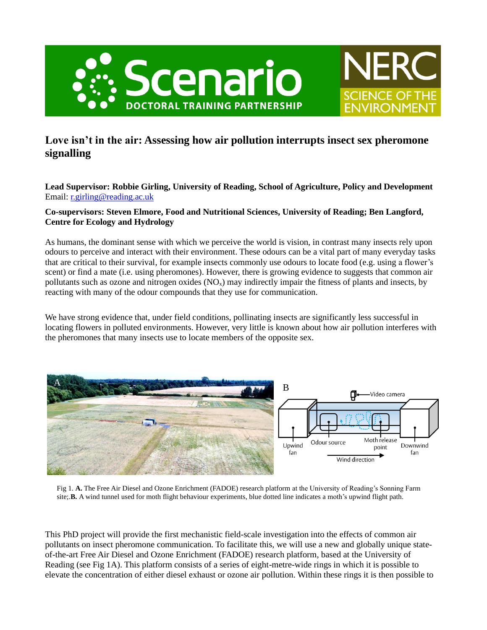

## **Love isn't in the air: Assessing how air pollution interrupts insect sex pheromone signalling**

**SCIENCE OF THE** 

**Lead Supervisor: Robbie Girling, University of Reading, School of Agriculture, Policy and Development** Email: [r.girling@reading.ac.uk](mailto:r.girling@reading.ac.uk)

## **Co-supervisors: Steven Elmore, Food and Nutritional Sciences, University of Reading; Ben Langford, Centre for Ecology and Hydrology**

As humans, the dominant sense with which we perceive the world is vision, in contrast many insects rely upon odours to perceive and interact with their environment. These odours can be a vital part of many everyday tasks that are critical to their survival, for example insects commonly use odours to locate food (e.g. using a flower's scent) or find a mate (i.e. using pheromones). However, there is growing evidence to suggests that common air pollutants such as ozone and nitrogen oxides  $(NO<sub>x</sub>)$  may indirectly impair the fitness of plants and insects, by reacting with many of the odour compounds that they use for communication.

We have strong evidence that, under field conditions, pollinating insects are significantly less successful in locating flowers in polluted environments. However, very little is known about how air pollution interferes with the pheromones that many insects use to locate members of the opposite sex.



Fig 1. **A.** The Free Air Diesel and Ozone Enrichment (FADOE) research platform at the University of Reading's Sonning Farm site;.**B.** A wind tunnel used for moth flight behaviour experiments, blue dotted line indicates a moth's upwind flight path.

This PhD project will provide the first mechanistic field-scale investigation into the effects of common air pollutants on insect pheromone communication. To facilitate this, we will use a new and globally unique stateof-the-art Free Air Diesel and Ozone Enrichment (FADOE) research platform, based at the University of Reading (see Fig 1A). This platform consists of a series of eight-metre-wide rings in which it is possible to elevate the concentration of either diesel exhaust or ozone air pollution. Within these rings it is then possible to